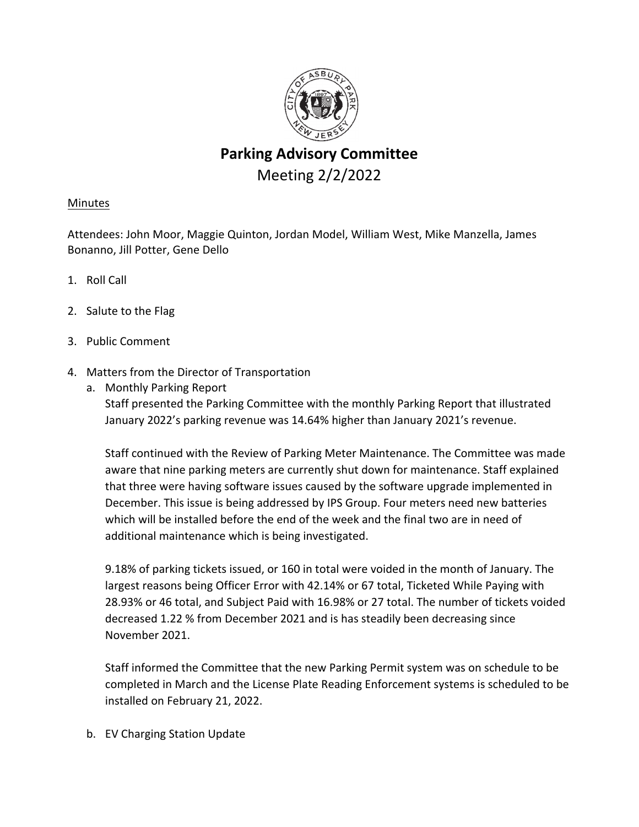

# **Parking Advisory Committee** Meeting 2/2/2022

## Minutes

Attendees: John Moor, Maggie Quinton, Jordan Model, William West, Mike Manzella, James Bonanno, Jill Potter, Gene Dello

- 1. Roll Call
- 2. Salute to the Flag
- 3. Public Comment
- 4. Matters from the Director of Transportation
	- a. Monthly Parking Report Staff presented the Parking Committee with the monthly Parking Report that illustrated January 2022's parking revenue was 14.64% higher than January 2021's revenue.

Staff continued with the Review of Parking Meter Maintenance. The Committee was made aware that nine parking meters are currently shut down for maintenance. Staff explained that three were having software issues caused by the software upgrade implemented in December. This issue is being addressed by IPS Group. Four meters need new batteries which will be installed before the end of the week and the final two are in need of additional maintenance which is being investigated.

9.18% of parking tickets issued, or 160 in total were voided in the month of January. The largest reasons being Officer Error with 42.14% or 67 total, Ticketed While Paying with 28.93% or 46 total, and Subject Paid with 16.98% or 27 total. The number of tickets voided decreased 1.22 % from December 2021 and is has steadily been decreasing since November 2021.

Staff informed the Committee that the new Parking Permit system was on schedule to be completed in March and the License Plate Reading Enforcement systems is scheduled to be installed on February 21, 2022.

b. EV Charging Station Update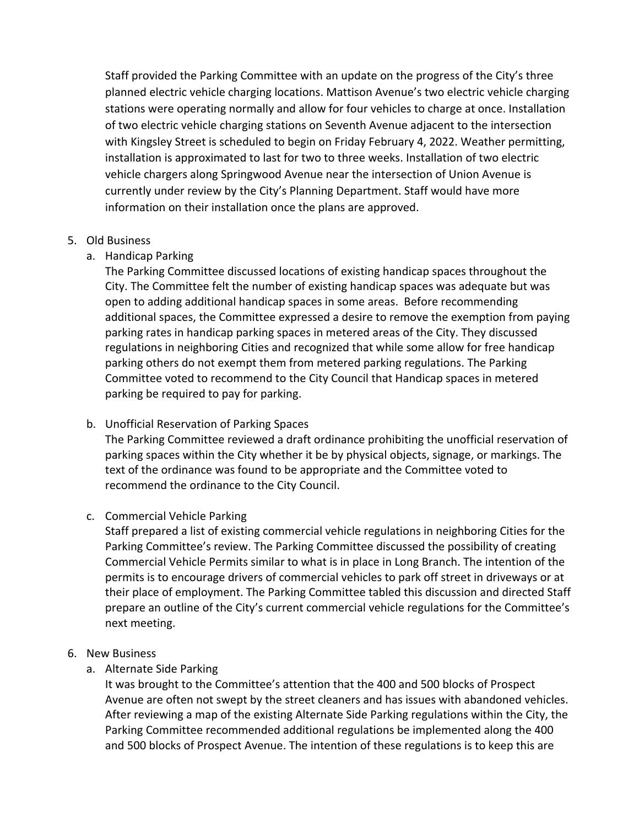Staff provided the Parking Committee with an update on the progress of the City's three planned electric vehicle charging locations. Mattison Avenue's two electric vehicle charging stations were operating normally and allow for four vehicles to charge at once. Installation of two electric vehicle charging stations on Seventh Avenue adjacent to the intersection with Kingsley Street is scheduled to begin on Friday February 4, 2022. Weather permitting, installation is approximated to last for two to three weeks. Installation of two electric vehicle chargers along Springwood Avenue near the intersection of Union Avenue is currently under review by the City's Planning Department. Staff would have more information on their installation once the plans are approved.

#### 5. Old Business

## a. Handicap Parking

The Parking Committee discussed locations of existing handicap spaces throughout the City. The Committee felt the number of existing handicap spaces was adequate but was open to adding additional handicap spaces in some areas. Before recommending additional spaces, the Committee expressed a desire to remove the exemption from paying parking rates in handicap parking spaces in metered areas of the City. They discussed regulations in neighboring Cities and recognized that while some allow for free handicap parking others do not exempt them from metered parking regulations. The Parking Committee voted to recommend to the City Council that Handicap spaces in metered parking be required to pay for parking.

## b. Unofficial Reservation of Parking Spaces

The Parking Committee reviewed a draft ordinance prohibiting the unofficial reservation of parking spaces within the City whether it be by physical objects, signage, or markings. The text of the ordinance was found to be appropriate and the Committee voted to recommend the ordinance to the City Council.

## c. Commercial Vehicle Parking

Staff prepared a list of existing commercial vehicle regulations in neighboring Cities for the Parking Committee's review. The Parking Committee discussed the possibility of creating Commercial Vehicle Permits similar to what is in place in Long Branch. The intention of the permits is to encourage drivers of commercial vehicles to park off street in driveways or at their place of employment. The Parking Committee tabled this discussion and directed Staff prepare an outline of the City's current commercial vehicle regulations for the Committee's next meeting.

## 6. New Business

a. Alternate Side Parking

It was brought to the Committee's attention that the 400 and 500 blocks of Prospect Avenue are often not swept by the street cleaners and has issues with abandoned vehicles. After reviewing a map of the existing Alternate Side Parking regulations within the City, the Parking Committee recommended additional regulations be implemented along the 400 and 500 blocks of Prospect Avenue. The intention of these regulations is to keep this are